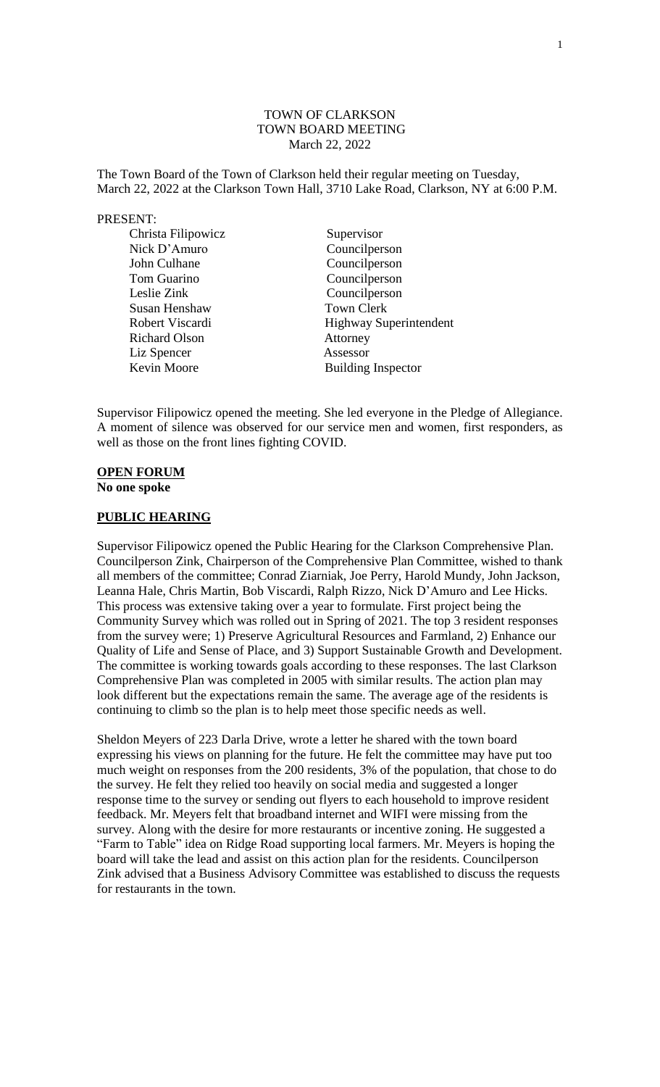### TOWN OF CLARKSON TOWN BOARD MEETING March 22, 2022

The Town Board of the Town of Clarkson held their regular meeting on Tuesday, March 22, 2022 at the Clarkson Town Hall, 3710 Lake Road, Clarkson, NY at 6:00 P.M.

#### PRESENT:

| Christa Filipowicz   | Supervisor                    |
|----------------------|-------------------------------|
| Nick D'Amuro         | Councilperson                 |
| John Culhane         | Councilperson                 |
| Tom Guarino          | Councilperson                 |
| Leslie Zink          | Councilperson                 |
| Susan Henshaw        | <b>Town Clerk</b>             |
| Robert Viscardi      | <b>Highway Superintendent</b> |
| <b>Richard Olson</b> | Attorney                      |
| Liz Spencer          | Assessor                      |
| Kevin Moore          | <b>Building Inspector</b>     |

Supervisor Filipowicz opened the meeting. She led everyone in the Pledge of Allegiance. A moment of silence was observed for our service men and women, first responders, as well as those on the front lines fighting COVID.

# **OPEN FORUM**

**No one spoke**

### **PUBLIC HEARING**

Supervisor Filipowicz opened the Public Hearing for the Clarkson Comprehensive Plan. Councilperson Zink, Chairperson of the Comprehensive Plan Committee, wished to thank all members of the committee; Conrad Ziarniak, Joe Perry, Harold Mundy, John Jackson, Leanna Hale, Chris Martin, Bob Viscardi, Ralph Rizzo, Nick D'Amuro and Lee Hicks. This process was extensive taking over a year to formulate. First project being the Community Survey which was rolled out in Spring of 2021. The top 3 resident responses from the survey were; 1) Preserve Agricultural Resources and Farmland, 2) Enhance our Quality of Life and Sense of Place, and 3) Support Sustainable Growth and Development. The committee is working towards goals according to these responses. The last Clarkson Comprehensive Plan was completed in 2005 with similar results. The action plan may look different but the expectations remain the same. The average age of the residents is continuing to climb so the plan is to help meet those specific needs as well.

Sheldon Meyers of 223 Darla Drive, wrote a letter he shared with the town board expressing his views on planning for the future. He felt the committee may have put too much weight on responses from the 200 residents, 3% of the population, that chose to do the survey. He felt they relied too heavily on social media and suggested a longer response time to the survey or sending out flyers to each household to improve resident feedback. Mr. Meyers felt that broadband internet and WIFI were missing from the survey. Along with the desire for more restaurants or incentive zoning. He suggested a "Farm to Table" idea on Ridge Road supporting local farmers. Mr. Meyers is hoping the board will take the lead and assist on this action plan for the residents. Councilperson Zink advised that a Business Advisory Committee was established to discuss the requests for restaurants in the town.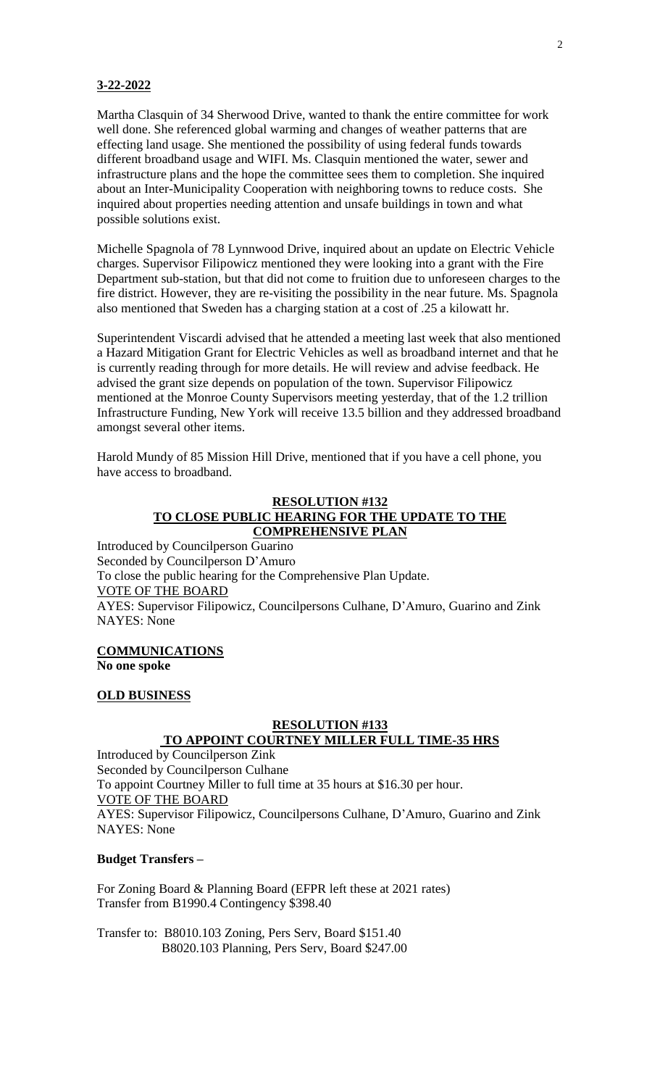### **3-22-2022**

Martha Clasquin of 34 Sherwood Drive, wanted to thank the entire committee for work well done. She referenced global warming and changes of weather patterns that are effecting land usage. She mentioned the possibility of using federal funds towards different broadband usage and WIFI. Ms. Clasquin mentioned the water, sewer and infrastructure plans and the hope the committee sees them to completion. She inquired about an Inter-Municipality Cooperation with neighboring towns to reduce costs. She inquired about properties needing attention and unsafe buildings in town and what possible solutions exist.

Michelle Spagnola of 78 Lynnwood Drive, inquired about an update on Electric Vehicle charges. Supervisor Filipowicz mentioned they were looking into a grant with the Fire Department sub-station, but that did not come to fruition due to unforeseen charges to the fire district. However, they are re-visiting the possibility in the near future. Ms. Spagnola also mentioned that Sweden has a charging station at a cost of .25 a kilowatt hr.

Superintendent Viscardi advised that he attended a meeting last week that also mentioned a Hazard Mitigation Grant for Electric Vehicles as well as broadband internet and that he is currently reading through for more details. He will review and advise feedback. He advised the grant size depends on population of the town. Supervisor Filipowicz mentioned at the Monroe County Supervisors meeting yesterday, that of the 1.2 trillion Infrastructure Funding, New York will receive 13.5 billion and they addressed broadband amongst several other items.

Harold Mundy of 85 Mission Hill Drive, mentioned that if you have a cell phone, you have access to broadband.

### **RESOLUTION #132 TO CLOSE PUBLIC HEARING FOR THE UPDATE TO THE COMPREHENSIVE PLAN**

Introduced by Councilperson Guarino Seconded by Councilperson D'Amuro To close the public hearing for the Comprehensive Plan Update. VOTE OF THE BOARD AYES: Supervisor Filipowicz, Councilpersons Culhane, D'Amuro, Guarino and Zink NAYES: None

#### **COMMUNICATIONS No one spoke**

#### **OLD BUSINESS**

### **RESOLUTION #133 TO APPOINT COURTNEY MILLER FULL TIME-35 HRS**

Introduced by Councilperson Zink Seconded by Councilperson Culhane To appoint Courtney Miller to full time at 35 hours at \$16.30 per hour. VOTE OF THE BOARD AYES: Supervisor Filipowicz, Councilpersons Culhane, D'Amuro, Guarino and Zink NAYES: None

### **Budget Transfers –**

For Zoning Board & Planning Board (EFPR left these at 2021 rates) Transfer from B1990.4 Contingency \$398.40

Transfer to: B8010.103 Zoning, Pers Serv, Board \$151.40 B8020.103 Planning, Pers Serv, Board \$247.00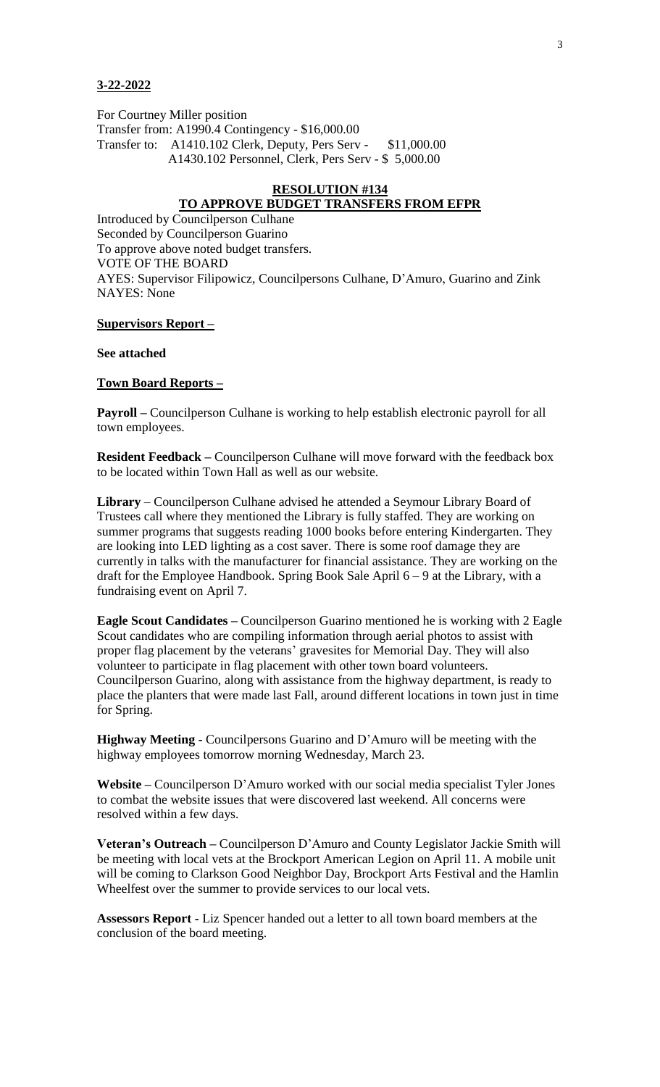#### **3-22-2022**

For Courtney Miller position

Transfer from: A1990.4 Contingency - \$16,000.00 Transfer to: A1410.102 Clerk, Deputy, Pers Serv - \$11,000.00 A1430.102 Personnel, Clerk, Pers Serv - \$ 5,000.00

#### **RESOLUTION #134**

### **TO APPROVE BUDGET TRANSFERS FROM EFPR**

Introduced by Councilperson Culhane Seconded by Councilperson Guarino To approve above noted budget transfers. VOTE OF THE BOARD AYES: Supervisor Filipowicz, Councilpersons Culhane, D'Amuro, Guarino and Zink NAYES: None

#### **Supervisors Report –**

#### **See attached**

### **Town Board Reports –**

**Payroll –** Councilperson Culhane is working to help establish electronic payroll for all town employees.

**Resident Feedback –** Councilperson Culhane will move forward with the feedback box to be located within Town Hall as well as our website.

**Library** – Councilperson Culhane advised he attended a Seymour Library Board of Trustees call where they mentioned the Library is fully staffed. They are working on summer programs that suggests reading 1000 books before entering Kindergarten. They are looking into LED lighting as a cost saver. There is some roof damage they are currently in talks with the manufacturer for financial assistance. They are working on the draft for the Employee Handbook. Spring Book Sale April 6 – 9 at the Library, with a fundraising event on April 7.

**Eagle Scout Candidates –** Councilperson Guarino mentioned he is working with 2 Eagle Scout candidates who are compiling information through aerial photos to assist with proper flag placement by the veterans' gravesites for Memorial Day. They will also volunteer to participate in flag placement with other town board volunteers. Councilperson Guarino, along with assistance from the highway department, is ready to place the planters that were made last Fall, around different locations in town just in time for Spring.

**Highway Meeting -** Councilpersons Guarino and D'Amuro will be meeting with the highway employees tomorrow morning Wednesday, March 23.

**Website –** Councilperson D'Amuro worked with our social media specialist Tyler Jones to combat the website issues that were discovered last weekend. All concerns were resolved within a few days.

**Veteran's Outreach –** Councilperson D'Amuro and County Legislator Jackie Smith will be meeting with local vets at the Brockport American Legion on April 11. A mobile unit will be coming to Clarkson Good Neighbor Day, Brockport Arts Festival and the Hamlin Wheelfest over the summer to provide services to our local vets.

**Assessors Report -** Liz Spencer handed out a letter to all town board members at the conclusion of the board meeting.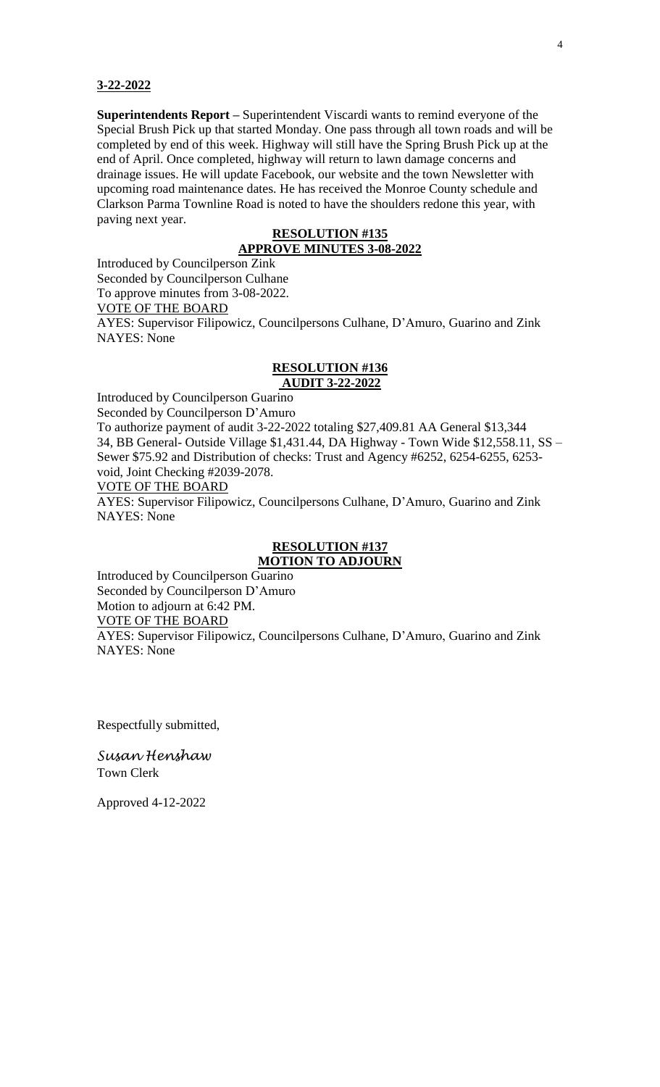#### **3-22-2022**

**Superintendents Report –** Superintendent Viscardi wants to remind everyone of the Special Brush Pick up that started Monday. One pass through all town roads and will be completed by end of this week. Highway will still have the Spring Brush Pick up at the end of April. Once completed, highway will return to lawn damage concerns and drainage issues. He will update Facebook, our website and the town Newsletter with upcoming road maintenance dates. He has received the Monroe County schedule and Clarkson Parma Townline Road is noted to have the shoulders redone this year, with paving next year.

## **RESOLUTION #135**

### **APPROVE MINUTES 3-08-2022**

Introduced by Councilperson Zink

Seconded by Councilperson Culhane

To approve minutes from 3-08-2022.

VOTE OF THE BOARD

AYES: Supervisor Filipowicz, Councilpersons Culhane, D'Amuro, Guarino and Zink NAYES: None

### **RESOLUTION #136 AUDIT 3-22-2022**

Introduced by Councilperson Guarino

Seconded by Councilperson D'Amuro

To authorize payment of audit 3-22-2022 totaling \$27,409.81 AA General \$13,344 34, BB General- Outside Village \$1,431.44, DA Highway - Town Wide \$12,558.11, SS – Sewer \$75.92 and Distribution of checks: Trust and Agency #6252, 6254-6255, 6253 void, Joint Checking #2039-2078.

VOTE OF THE BOARD

AYES: Supervisor Filipowicz, Councilpersons Culhane, D'Amuro, Guarino and Zink NAYES: None

### **RESOLUTION #137 MOTION TO ADJOURN**

Introduced by Councilperson Guarino Seconded by Councilperson D'Amuro Motion to adjourn at 6:42 PM. VOTE OF THE BOARD AYES: Supervisor Filipowicz, Councilpersons Culhane, D'Amuro, Guarino and Zink NAYES: None

Respectfully submitted,

*Susan Henshaw* Town Clerk

Approved 4-12-2022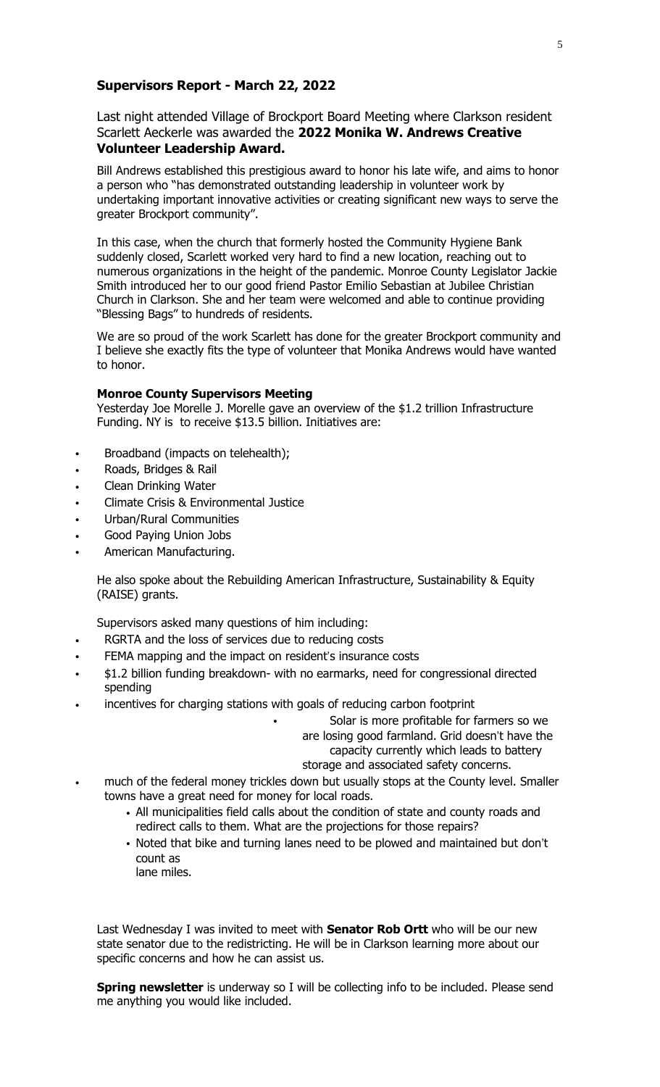### **Supervisors Report - March 22, 2022**

Last night attended Village of Brockport Board Meeting where Clarkson resident Scarlett Aeckerle was awarded the **2022 Monika W. Andrews Creative Volunteer Leadership Award.**

Bill Andrews established this prestigious award to honor his late wife, and aims to honor a person who "has demonstrated outstanding leadership in volunteer work by undertaking important innovative activities or creating significant new ways to serve the greater Brockport community".

In this case, when the church that formerly hosted the Community Hygiene Bank suddenly closed, Scarlett worked very hard to find a new location, reaching out to numerous organizations in the height of the pandemic. Monroe County Legislator Jackie Smith introduced her to our good friend Pastor Emilio Sebastian at Jubilee Christian Church in Clarkson. She and her team were welcomed and able to continue providing "Blessing Bags" to hundreds of residents.

We are so proud of the work Scarlett has done for the greater Brockport community and I believe she exactly fits the type of volunteer that Monika Andrews would have wanted to honor.

#### **Monroe County Supervisors Meeting**

Yesterday Joe Morelle J. Morelle gave an overview of the \$1.2 trillion Infrastructure Funding. NY is to receive \$13.5 billion. Initiatives are:

- Broadband (impacts on telehealth);
- Roads, Bridges & Rail
- Clean Drinking Water
- Climate Crisis & Environmental Justice
- Urban/Rural Communities
- Good Paying Union Jobs
- American Manufacturing.

He also spoke about the Rebuilding American Infrastructure, Sustainability & Equity (RAISE) grants.

Supervisors asked many questions of him including:

- RGRTA and the loss of services due to reducing costs
- FEMA mapping and the impact on resident's insurance costs
- \$1.2 billion funding breakdown- with no earmarks, need for congressional directed spending
- incentives for charging stations with goals of reducing carbon footprint

Solar is more profitable for farmers so we are losing good farmland. Grid doesn't have the capacity currently which leads to battery storage and associated safety concerns.

- much of the federal money trickles down but usually stops at the County level. Smaller towns have a great need for money for local roads.
	- All municipalities field calls about the condition of state and county roads and redirect calls to them. What are the projections for those repairs?
	- Noted that bike and turning lanes need to be plowed and maintained but don't count as
		- lane miles.

Last Wednesday I was invited to meet with **Senator Rob Ortt** who will be our new state senator due to the redistricting. He will be in Clarkson learning more about our specific concerns and how he can assist us.

**Spring newsletter** is underway so I will be collecting info to be included. Please send me anything you would like included.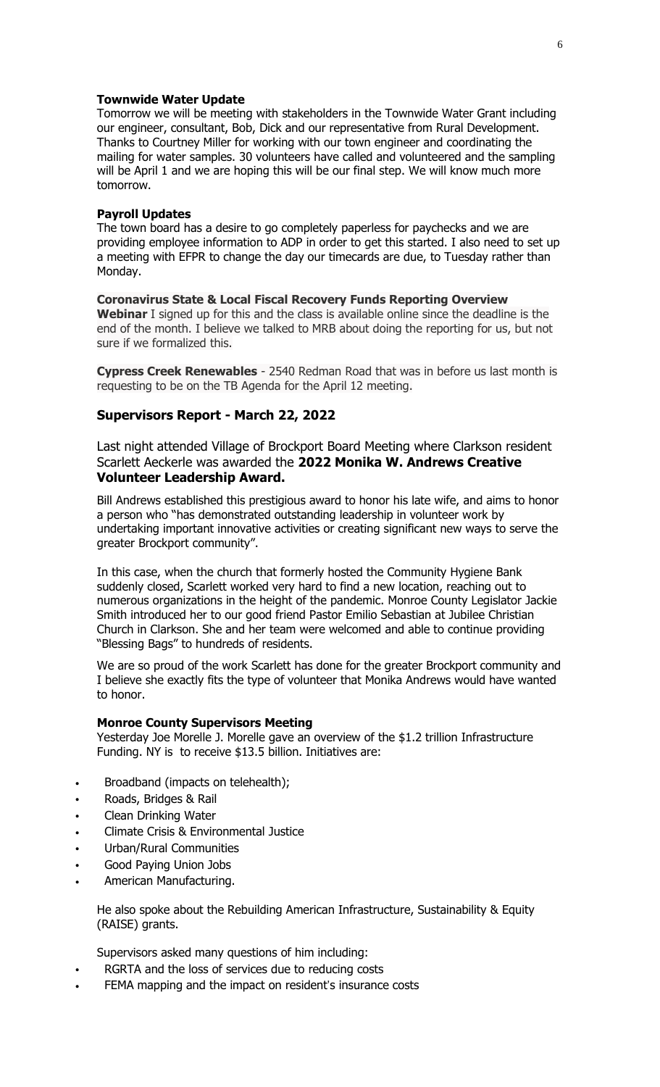#### **Townwide Water Update**

Tomorrow we will be meeting with stakeholders in the Townwide Water Grant including our engineer, consultant, Bob, Dick and our representative from Rural Development. Thanks to Courtney Miller for working with our town engineer and coordinating the mailing for water samples. 30 volunteers have called and volunteered and the sampling will be April 1 and we are hoping this will be our final step. We will know much more tomorrow.

### **Payroll Updates**

The town board has a desire to go completely paperless for paychecks and we are providing employee information to ADP in order to get this started. I also need to set up a meeting with EFPR to change the day our timecards are due, to Tuesday rather than Monday.

### **Coronavirus State & Local Fiscal Recovery Funds Reporting Overview**

**Webinar** I signed up for this and the class is available online since the deadline is the end of the month. I believe we talked to MRB about doing the reporting for us, but not sure if we formalized this.

**Cypress Creek Renewables** - 2540 Redman Road that was in before us last month is requesting to be on the TB Agenda for the April 12 meeting.

### **Supervisors Report - March 22, 2022**

Last night attended Village of Brockport Board Meeting where Clarkson resident Scarlett Aeckerle was awarded the **2022 Monika W. Andrews Creative Volunteer Leadership Award.**

Bill Andrews established this prestigious award to honor his late wife, and aims to honor a person who "has demonstrated outstanding leadership in volunteer work by undertaking important innovative activities or creating significant new ways to serve the greater Brockport community".

In this case, when the church that formerly hosted the Community Hygiene Bank suddenly closed, Scarlett worked very hard to find a new location, reaching out to numerous organizations in the height of the pandemic. Monroe County Legislator Jackie Smith introduced her to our good friend Pastor Emilio Sebastian at Jubilee Christian Church in Clarkson. She and her team were welcomed and able to continue providing "Blessing Bags" to hundreds of residents.

We are so proud of the work Scarlett has done for the greater Brockport community and I believe she exactly fits the type of volunteer that Monika Andrews would have wanted to honor.

#### **Monroe County Supervisors Meeting**

Yesterday Joe Morelle J. Morelle gave an overview of the \$1.2 trillion Infrastructure Funding. NY is to receive \$13.5 billion. Initiatives are:

- Broadband (impacts on telehealth);
- Roads, Bridges & Rail
- Clean Drinking Water
- Climate Crisis & Environmental Justice
- Urban/Rural Communities
- Good Paying Union Jobs
- American Manufacturing.

He also spoke about the Rebuilding American Infrastructure, Sustainability & Equity (RAISE) grants.

Supervisors asked many questions of him including:

- RGRTA and the loss of services due to reducing costs
- FEMA mapping and the impact on resident's insurance costs